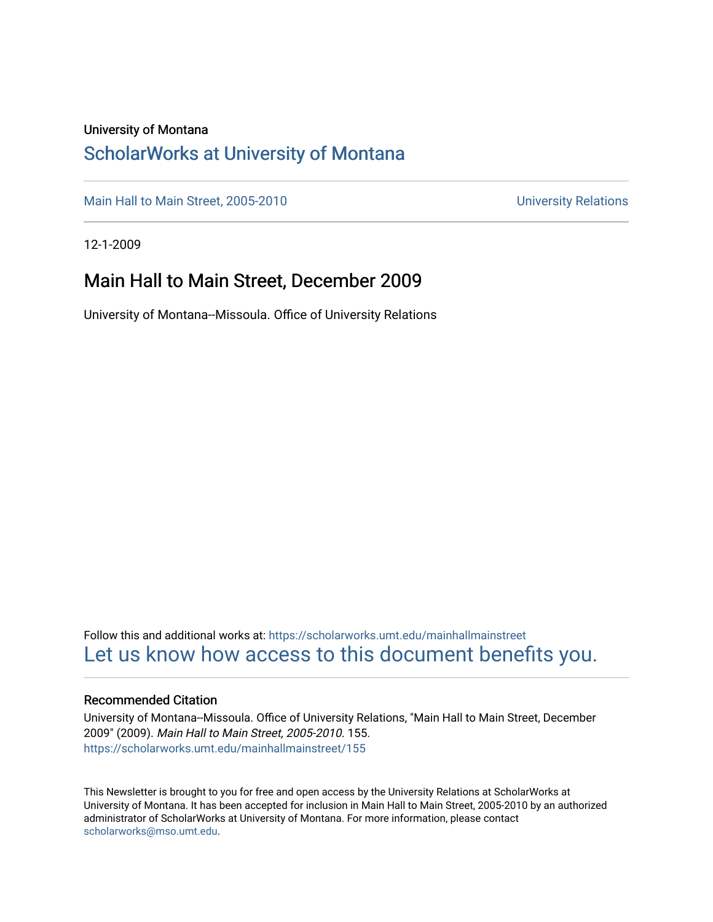#### University of Montana

### [ScholarWorks at University of Montana](https://scholarworks.umt.edu/)

[Main Hall to Main Street, 2005-2010](https://scholarworks.umt.edu/mainhallmainstreet) Main Hall to Main Street, 2005-2010

12-1-2009

### Main Hall to Main Street, December 2009

University of Montana--Missoula. Office of University Relations

Follow this and additional works at: [https://scholarworks.umt.edu/mainhallmainstreet](https://scholarworks.umt.edu/mainhallmainstreet?utm_source=scholarworks.umt.edu%2Fmainhallmainstreet%2F155&utm_medium=PDF&utm_campaign=PDFCoverPages) [Let us know how access to this document benefits you.](https://goo.gl/forms/s2rGfXOLzz71qgsB2) 

#### Recommended Citation

University of Montana--Missoula. Office of University Relations, "Main Hall to Main Street, December 2009" (2009). Main Hall to Main Street, 2005-2010. 155. [https://scholarworks.umt.edu/mainhallmainstreet/155](https://scholarworks.umt.edu/mainhallmainstreet/155?utm_source=scholarworks.umt.edu%2Fmainhallmainstreet%2F155&utm_medium=PDF&utm_campaign=PDFCoverPages)

This Newsletter is brought to you for free and open access by the University Relations at ScholarWorks at University of Montana. It has been accepted for inclusion in Main Hall to Main Street, 2005-2010 by an authorized administrator of ScholarWorks at University of Montana. For more information, please contact [scholarworks@mso.umt.edu.](mailto:scholarworks@mso.umt.edu)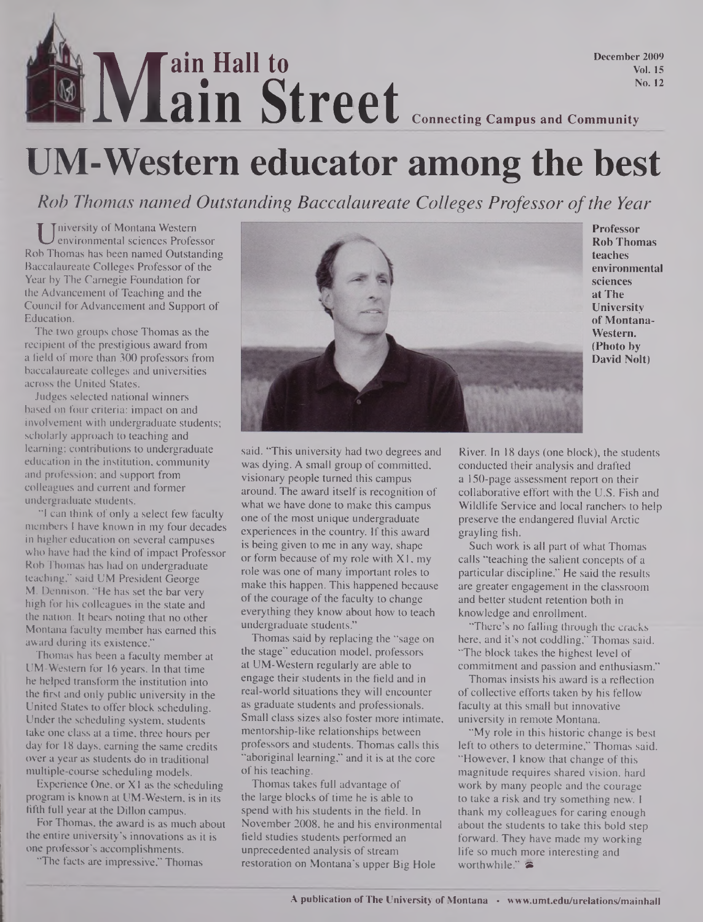## **Main Street** Connecting Campus and Community **ain Hall to ain Street December 2009 Vol. 15 No. 12**

# **UM-Western educator among the best**

*Rob Thomas named Outstanding Baccalaureate Colleges Professor ofthe Year*

U niversity of Montana Western<br>b Thomas has been named Outstanding niversity of Montana Western environmental sciences Professor Baccalaureate Colleges Professor of the Year by The Carnegie Foundation for the Advancement of Teaching and the Council for Advancement and Support of Education.

The two groups chose Thomas as the recipient of the prestigious award from a field of more than 300 professors from baccalaureate colleges and universities across the United States.

Judges selected national winners based on four criteria: impact on and involvement with undergraduate students; scholarly approach to teaching and learning; contributions to undergraduate education in the institution, community and profession; and support from colleagues and current and former undergraduate students.

"I can think of only a select few faculty members <sup>I</sup> have known in my four decades in higher education on several campuses who have had the kind of impact Professor Rob Thomas has had on undergraduate teaching," said UM President George M. Dennison. "He has set the bar very high for his colleagues in the state and the nation. It bears noting that no other Montana faculty member has earned this award during its existence."

Thomas has been a faculty member at UM-Western for 16 years. In that time he helped transform the institution into the first and only public university in the United States to offer block scheduling. Under the scheduling system, students take one class at a time, three hours per day for 18 days, earning the same credits over a year as students do in traditional multiple-course scheduling models.

Experience One, or XI as the scheduling program is known at UM-Western, is in its fifth full year at the Dillon campus.

For Thomas, the award is as much about the entire university's innovations as it is one professor's accomplishments.

"The facts are impressive," Thomas



**Professor Rob Thomas teaches environmental sciences at The University of Montana-Western. (Photo by David Nolt)**

said. "This university had two degrees and was dying. A small group of committed, visionary people turned this campus around. The award itself is recognition of what we have done to make this campus one of the most unique undergraduate experiences in the country. If this award is being given to me in any way, shape or form because of my role with XI, my role was one of many important roles to make this happen. This happened because of the courage of the faculty to change everything they know about how to teach undergraduate students."

Thomas said by replacing the "sage on the stage" education model, professors at UM-Western regularly are able to engage their students in the field and in real-world situations they will encounter as graduate students and professionals. Small class sizes also foster more intimate, mentorship-like relationships between professors and students. Thomas calls this "aboriginal learning," and it is at the core of his teaching.

Thomas takes full advantage of the large blocks of time he is able to spend with his students in the field. In November 2008, he and his environmental field studies students performed an unprecedented analysis of stream restoration on Montana's upper Big Hole

River. In 18 days (one block), the students conducted their analysis and drafted a 150-page assessment report on their collaborative effort with the U.S. Fish and Wildlife Service and local ranchers to help preserve the endangered fluvial Arctic grayling fish.

Such work is all part of what Thomas calls "teaching the salient concepts of a particular discipline." He said the results are greater engagement in the classroom and better student retention both in knowledge and enrollment.

"There's no falling through the cracks here, and it's not coddling," Thomas said. "The block takes the highest level of commitment and passion and enthusiasm."

Thomas insists his award is a reflection of collective efforts taken by his fellow faculty at this small but innovative university in remote Montana.

"My role in this historic change is best left to others to determine," Thomas said. "However, I know that change of this magnitude requires shared vision, hard work by many people and the courage to take a risk and try something new. I thank my colleagues for caring enough about the students to take this bold step forward. They have made my working life so much more interesting and worthwhile." $\approx$